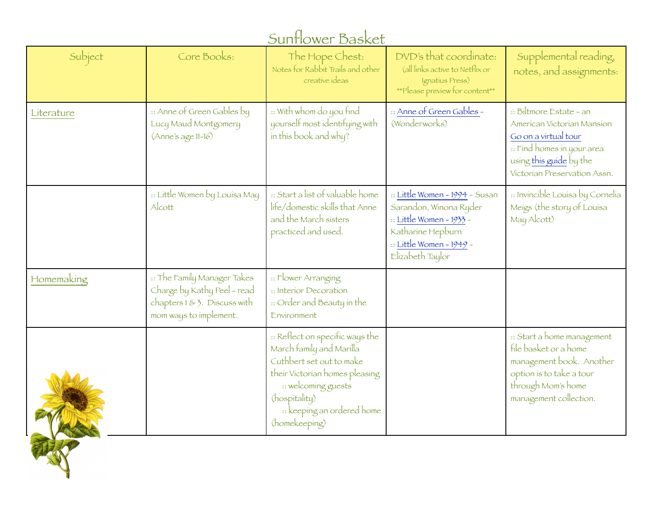| Sunflower Basket |                                                                                                                      |                                                                                                                                                                                                                  |                                                                                                                                                           |                                                                                                                                                                        |
|------------------|----------------------------------------------------------------------------------------------------------------------|------------------------------------------------------------------------------------------------------------------------------------------------------------------------------------------------------------------|-----------------------------------------------------------------------------------------------------------------------------------------------------------|------------------------------------------------------------------------------------------------------------------------------------------------------------------------|
| Subject          | Core Books:                                                                                                          | The Hope Chest:<br>Notes for Rabbit Trails and other<br>creative ideas                                                                                                                                           | DVD's that coordinate:<br>(all links active to Netflix or<br>Ignatius Press)<br>**Please preview for content**                                            | Supplemental reading,<br>notes, and assignments:                                                                                                                       |
| Literature       | :: Anne of Green Gables by<br>Lucy Maud Montgomery<br>$(Anne's age 11-16)$                                           | :: With whom do you find<br>yourself most identifying with<br>in this book and why?                                                                                                                              | :: Anne of Green Gables -<br>(Wonderworks)                                                                                                                | :: Biltmore Estate - an<br>American Victorian Mansion<br>Go on a virtual tour<br>:: Find homes in your area<br>using this guide by the<br>Victorian Preservation Assn. |
|                  | :: Little Women by Louisa May<br>Alcott                                                                              | :: Start a list of valuable home<br>life/domestic skills that Anne<br>and the March sisters<br>practiced and used.                                                                                               | :: Little Women - 1994 - Susan<br>Sarandon, Winona Ryder<br>:: Little Women - 1933 -<br>Katharine Hepburn<br>:: Little Women - 1949 -<br>Elizabeth Taylor | :: Invincible Louisa by Cornelia<br>Meigs (the story of Louisa<br>May Alcott)                                                                                          |
| Homemaking       | :: The Family Manager Takes<br>Charge by Kathy Peel - read<br>chapters 1 & 3. Discuss with<br>mom ways to implement. | :: Flower Arranging<br>:: Interior Decoration<br>:: Order and Beauty in the<br>Environment                                                                                                                       |                                                                                                                                                           |                                                                                                                                                                        |
|                  |                                                                                                                      | :: Reflect on specific ways the<br>March family and Marilla<br>Cuthbert set out to make<br>their Victorian homes pleasing<br>:: welcoming guests<br>(hospitality)<br>:: keeping an ordered home<br>(homekeeping) |                                                                                                                                                           | :: Start a home management<br>file basket or a home<br>management book. Another<br>option is to take a tour<br>through Mom's home<br>management collection.            |

THE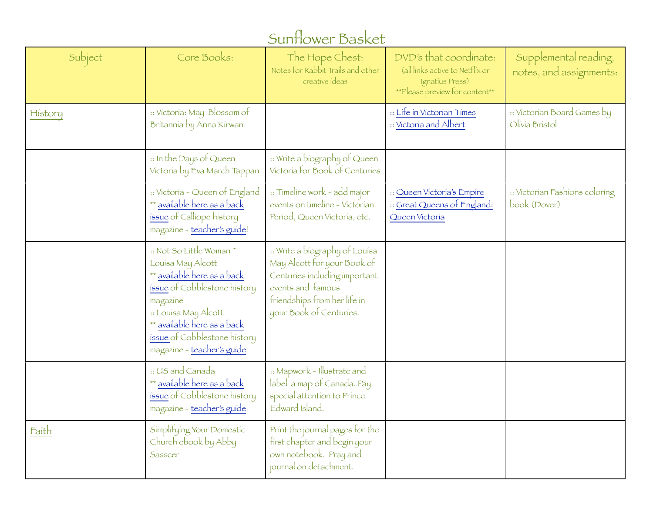## Sunflower Basket

| Subject | Core Books:                                                                                                                                                                                                                                  | The Hope Chest:<br>Notes for Rabbit Trails and other<br>creative ideas                                                                                                         | DVD's that coordinate:<br>(all links active to Netflix or<br>Ignatius Press)<br>**Please preview for content** | Supplemental reading,<br>notes, and assignments: |
|---------|----------------------------------------------------------------------------------------------------------------------------------------------------------------------------------------------------------------------------------------------|--------------------------------------------------------------------------------------------------------------------------------------------------------------------------------|----------------------------------------------------------------------------------------------------------------|--------------------------------------------------|
| History | :: Victoria: May Blossom of<br>Britannia by Anna Kirwan                                                                                                                                                                                      |                                                                                                                                                                                | :: Life in Victorian Times<br>:: Victoria and Albert                                                           | :: Victorian Board Games by<br>Olivia Bristol    |
|         | :: In the Days of Queen<br>Víctoría by Eva March Tappan                                                                                                                                                                                      | :: Write a biography of Queen<br>Victoria for Book of Centuries                                                                                                                |                                                                                                                |                                                  |
|         | :: Victoria - Queen of England<br>** available here as a back<br>issue of Calliope history<br>magazine - teacher's guide!                                                                                                                    | :: Timeline work - add major<br>events on timeline - Victorian<br>Períod, Queen Víctoría, etc.                                                                                 | :: Queen Victoria's Empire<br>:: Great Queens of England:<br>Queen Victoria                                    | :: Victorian Fashions coloring<br>book (Dover)   |
|         | :: Not So Little Woman~<br>Louisa May Alcott<br>** available here as a back<br>issue of Cobblestone history<br>magazine<br>:: Louisa May Alcott<br>** available here as a back<br>issue of Cobblestone history<br>magazine - teacher's guide | :: Write a biography of Louisa<br>May Alcott for your Book of<br>Centuries including important<br>events and famous<br>friendships from her life in<br>your Book of Centuries. |                                                                                                                |                                                  |
|         | :: US and Canada<br>** available here as a back<br>issue of Cobblestone history<br>magazine - teacher's guide                                                                                                                                | :: Mapwork - Illustrate and<br>label a map of Canada. Pay<br>special attention to Prince<br>Edward Island.                                                                     |                                                                                                                |                                                  |
| Faith   | Simplifying Your Domestic<br>Church ebook by Abby<br>Sasscer                                                                                                                                                                                 | Print the journal pages for the<br>first chapter and begin your<br>own notebook. Pray and<br>journal on detachment.                                                            |                                                                                                                |                                                  |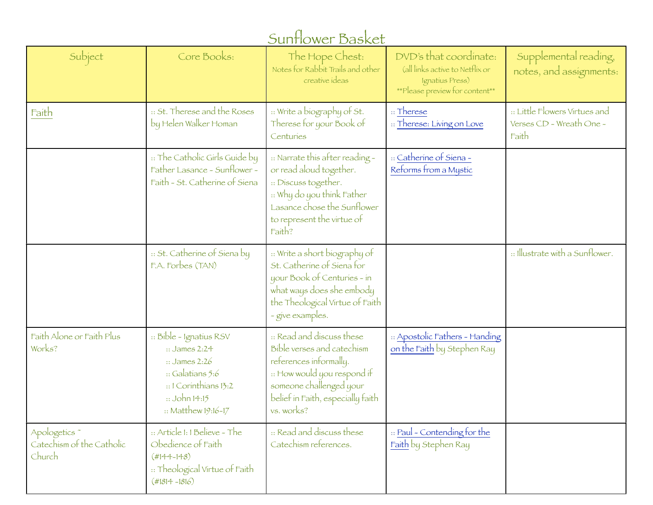| Sunflower Basket                                                |                                                                                                                                                                         |                                                                                                                                                                                                |                                                                                                                |                                                                    |
|-----------------------------------------------------------------|-------------------------------------------------------------------------------------------------------------------------------------------------------------------------|------------------------------------------------------------------------------------------------------------------------------------------------------------------------------------------------|----------------------------------------------------------------------------------------------------------------|--------------------------------------------------------------------|
| Subject                                                         | Core Books:                                                                                                                                                             | The Hope Chest:<br>Notes for Rabbit Trails and other<br>creative ideas                                                                                                                         | DVD's that coordinate:<br>(all links active to Netflix or<br>Ignatius Press)<br>**Please preview for content** | Supplemental reading,<br>notes, and assignments:                   |
| Faith                                                           | :: St. Therese and the Roses<br>by Helen Walker Homan                                                                                                                   | :: Write a biography of St.<br>Therese for your Book of<br>Centuries                                                                                                                           | $\therefore$ Therese<br>:: Therese: Living on Love                                                             | :: Little Flowers Virtues and<br>Verses CD - Wreath One -<br>Faith |
|                                                                 | :: The Catholic Girls Guide by<br>Father Lasance - Sunflower -<br>Faith - St. Catherine of Siena                                                                        | :: Narrate this after reading -<br>or read aloud together.<br>:: Discuss together.<br>:: Why do you think Father<br>Lasance chose the Sunflower<br>to represent the virtue of<br>Faith?        | :: Catherine of Siena -<br>Reforms from a Mystic                                                               |                                                                    |
|                                                                 | :: St. Catherine of Siena by<br>F.A. Forbes (TAN)                                                                                                                       | :: Write a short biography of<br>St. Catherine of Siena for<br>your Book of Centuries - in<br>what ways does she embody<br>the Theological Virtue of Faith<br>- give examples.                 |                                                                                                                | :: Illustrate with a Sunflower.                                    |
| Faith Alone or Faith Plus<br>Works?                             | :: Bible - Ignatius RSV<br>$::$ James 2:24<br>$\therefore$ James 2:26<br>$\cdot$ : Galatians 5:6<br>:: I Corinthians 13:2<br>$::$ John 14:15<br>$::$ Matthew $19:16-17$ | :: Read and discuss these<br>Bible verses and catechism<br>references informally.<br>:: How would you respond if<br>someone challenged your<br>belief in Faith, especially faith<br>vs. works? | :: Apostolic Fathers - Handing<br>on the Faith by Stephen Ray                                                  |                                                                    |
| Apologetics <sup>*</sup><br>Catechism of the Catholic<br>Church | :: Article I: I Believe - The<br>Obedience of Faith<br>$(H144 - 148)$<br>:: Theological Virtue of Faith<br>$(#1814 - 1816)$                                             | :: Read and discuss these<br>Catechism references.                                                                                                                                             | :: Paul - Contending for the<br>Faith by Stephen Ray                                                           |                                                                    |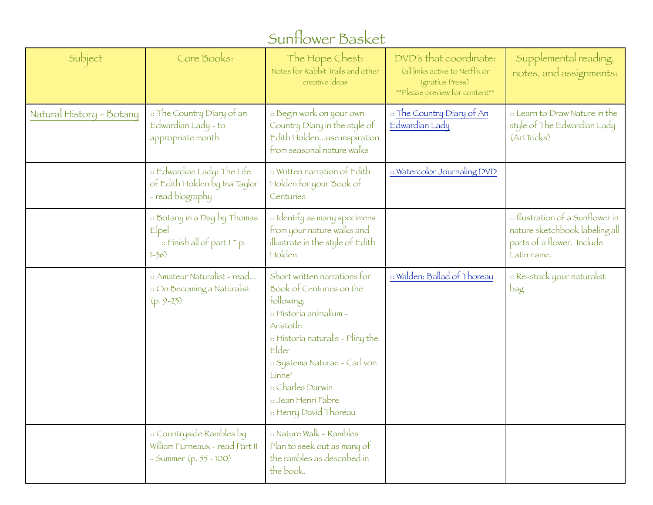## Sunflower Basket

| Subject                  | Core Books:                                                                              | The Hope Chest:<br>Notes for Rabbit Trails and other<br>creative ideas                                                                                                                                                                                                       | DVD's that coordinate:<br>(all links active to Netflix or<br>Ignatius Press)<br>**Please preview for content** | Supplemental reading,<br>notes, and assignments:                                                                 |
|--------------------------|------------------------------------------------------------------------------------------|------------------------------------------------------------------------------------------------------------------------------------------------------------------------------------------------------------------------------------------------------------------------------|----------------------------------------------------------------------------------------------------------------|------------------------------------------------------------------------------------------------------------------|
| Natural History - Botany | :: The Country Diary of an<br>Edwardian Lady - to<br>appropriate month                   | :: Begin work on your own<br>Country Diary in the style of<br>Edith Holdenuse inspiration<br>from seasonal nature walks                                                                                                                                                      | :: The Country Diary of An<br>Edwardian Lady                                                                   | :: Learn to Draw Nature in the<br>style of The Edwardian Lady<br>(ArtTricks)                                     |
|                          | :: Edwardian Lady: The Life<br>of Edith Holden by Ina Taylor<br>- read biography         | :: Written narration of Edith<br>Holden for your Book of<br>Centuries                                                                                                                                                                                                        | :: Watercolor Journaling DVD                                                                                   |                                                                                                                  |
|                          | :: Botany in a Day by Thomas<br>Elpel<br>:: Finish all of part I ~ p.<br>$1 - 36$        | :: Identify as many specimens<br>from your nature walks and<br>illustrate in the style of Edith<br>Holden                                                                                                                                                                    |                                                                                                                | :: Illustration of a Sunflower in<br>nature sketchbook labeling all<br>parts of a flower. Include<br>Latin name. |
|                          | :: Amateur Naturalist - read<br>:: On Becoming a Naturalist<br>$(p. 9-23)$               | Short written narrations for<br>Book of Centuries on the<br>following:<br>: Historia animalium -<br>Aristotle<br>:: Historia naturalis - Pliny the<br>Elder<br>:: Systema Naturae - Carl von<br>Linne'<br>:: Charles Darwin<br>:: Jean Henri Fabre<br>:: Henry David Thoreau | :: Walden: Ballad of Thoreau                                                                                   | :: Re-stock your naturalist<br>bag                                                                               |
|                          | :: Countryside Rambles by<br>William Furneaux - read Part II<br>- Summer $(p. 55 - 100)$ | :: Nature Walk - Rambles<br>Plan to seek out as many of<br>the rambles as described in<br>the book.                                                                                                                                                                          |                                                                                                                |                                                                                                                  |